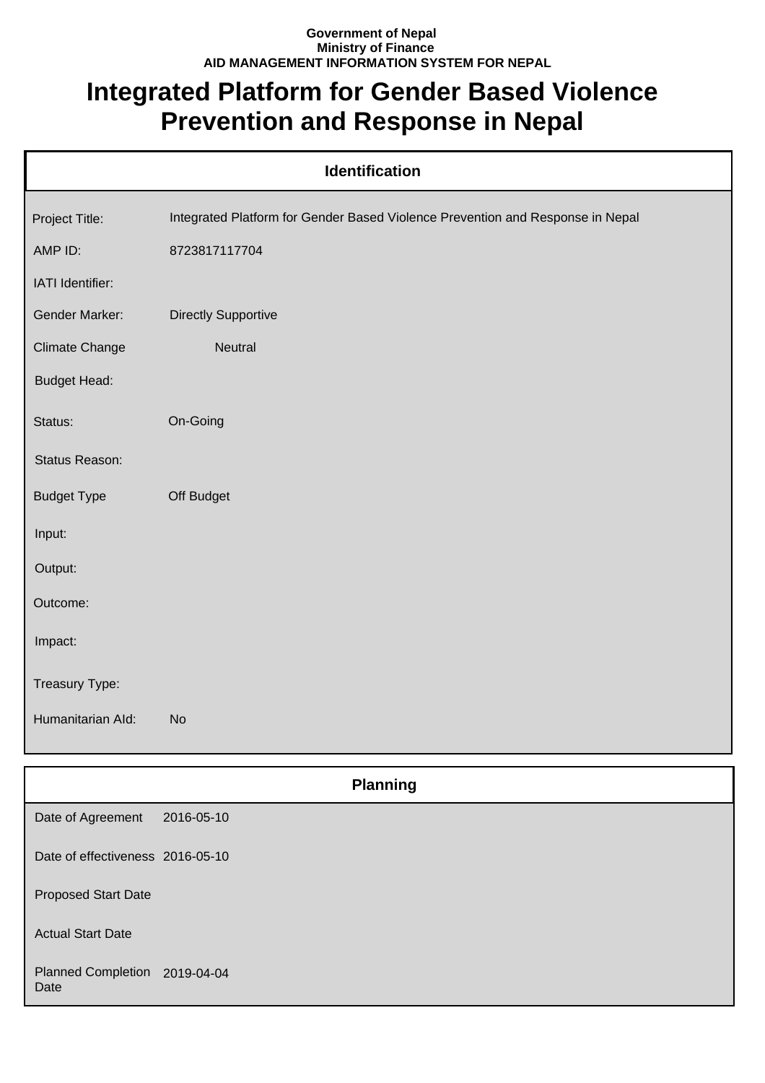## **Government of Nepal Ministry of Finance AID MANAGEMENT INFORMATION SYSTEM FOR NEPAL**

## **Integrated Platform for Gender Based Violence Prevention and Response in Nepal**

| Identification                   |                                                                                |  |
|----------------------------------|--------------------------------------------------------------------------------|--|
| Project Title:                   | Integrated Platform for Gender Based Violence Prevention and Response in Nepal |  |
| AMP ID:                          | 8723817117704                                                                  |  |
| IATI Identifier:                 |                                                                                |  |
| Gender Marker:                   | <b>Directly Supportive</b>                                                     |  |
| <b>Climate Change</b>            | Neutral                                                                        |  |
| <b>Budget Head:</b>              |                                                                                |  |
| Status:                          | On-Going                                                                       |  |
| Status Reason:                   |                                                                                |  |
| <b>Budget Type</b>               | Off Budget                                                                     |  |
| Input:                           |                                                                                |  |
| Output:                          |                                                                                |  |
| Outcome:                         |                                                                                |  |
| Impact:                          |                                                                                |  |
| Treasury Type:                   |                                                                                |  |
| Humanitarian Ald:                | No                                                                             |  |
|                                  |                                                                                |  |
|                                  | <b>Planning</b>                                                                |  |
| Date of Agreement                | 2016-05-10                                                                     |  |
| Date of effectiveness 2016-05-10 |                                                                                |  |

Proposed Start Date

Actual Start Date

Planned Completion 2019-04-04 Date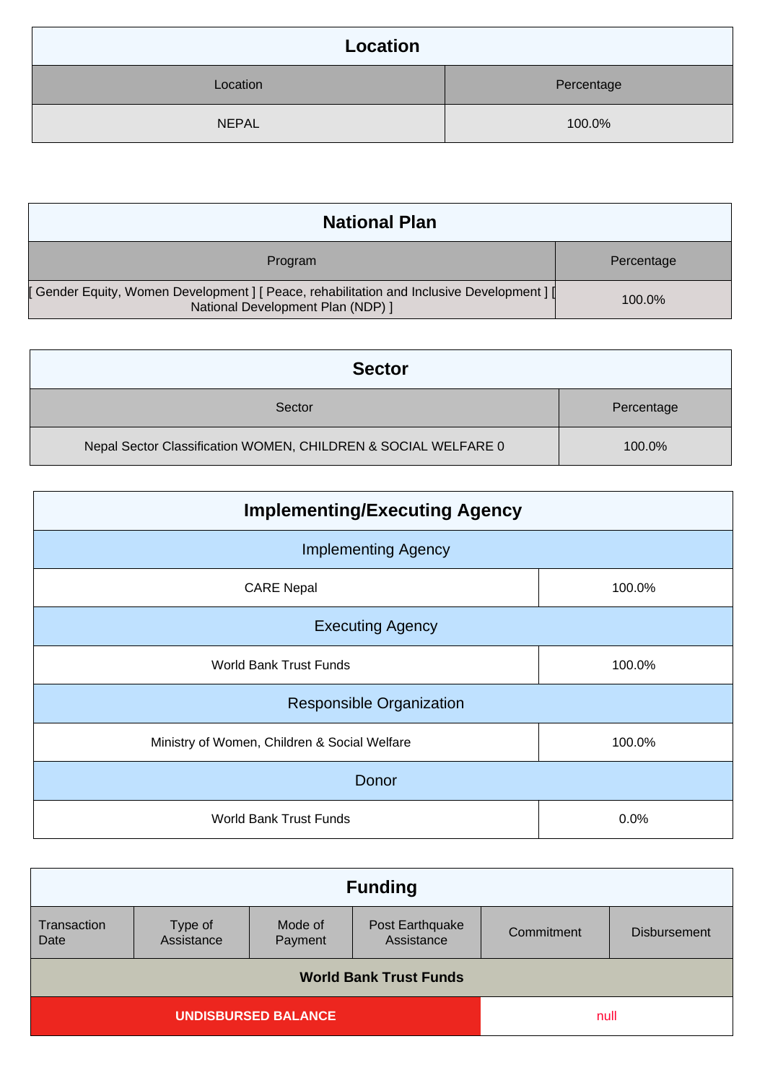| Location     |            |
|--------------|------------|
| Location     | Percentage |
| <b>NEPAL</b> | 100.0%     |

| <b>National Plan</b>                                                                                                            |            |
|---------------------------------------------------------------------------------------------------------------------------------|------------|
| Program                                                                                                                         | Percentage |
| [ Gender Equity, Women Development ] [ Peace, rehabilitation and Inclusive Development ] [<br>National Development Plan (NDP) ] | 100.0%     |

| <b>Sector</b>                                                  |            |
|----------------------------------------------------------------|------------|
| Sector                                                         | Percentage |
| Nepal Sector Classification WOMEN, CHILDREN & SOCIAL WELFARE 0 | 100.0%     |

| <b>Implementing/Executing Agency</b>         |        |  |
|----------------------------------------------|--------|--|
| <b>Implementing Agency</b>                   |        |  |
| <b>CARE Nepal</b>                            | 100.0% |  |
| <b>Executing Agency</b>                      |        |  |
| <b>World Bank Trust Funds</b>                | 100.0% |  |
| <b>Responsible Organization</b>              |        |  |
| Ministry of Women, Children & Social Welfare | 100.0% |  |
| Donor                                        |        |  |
| <b>World Bank Trust Funds</b>                | 0.0%   |  |

| <b>Funding</b>                |                    |                               |            |                     |
|-------------------------------|--------------------|-------------------------------|------------|---------------------|
| Type of<br>Assistance         | Mode of<br>Payment | Post Earthquake<br>Assistance | Commitment | <b>Disbursement</b> |
| <b>World Bank Trust Funds</b> |                    |                               |            |                     |
| <b>UNDISBURSED BALANCE</b>    |                    |                               |            |                     |
|                               |                    |                               |            | null                |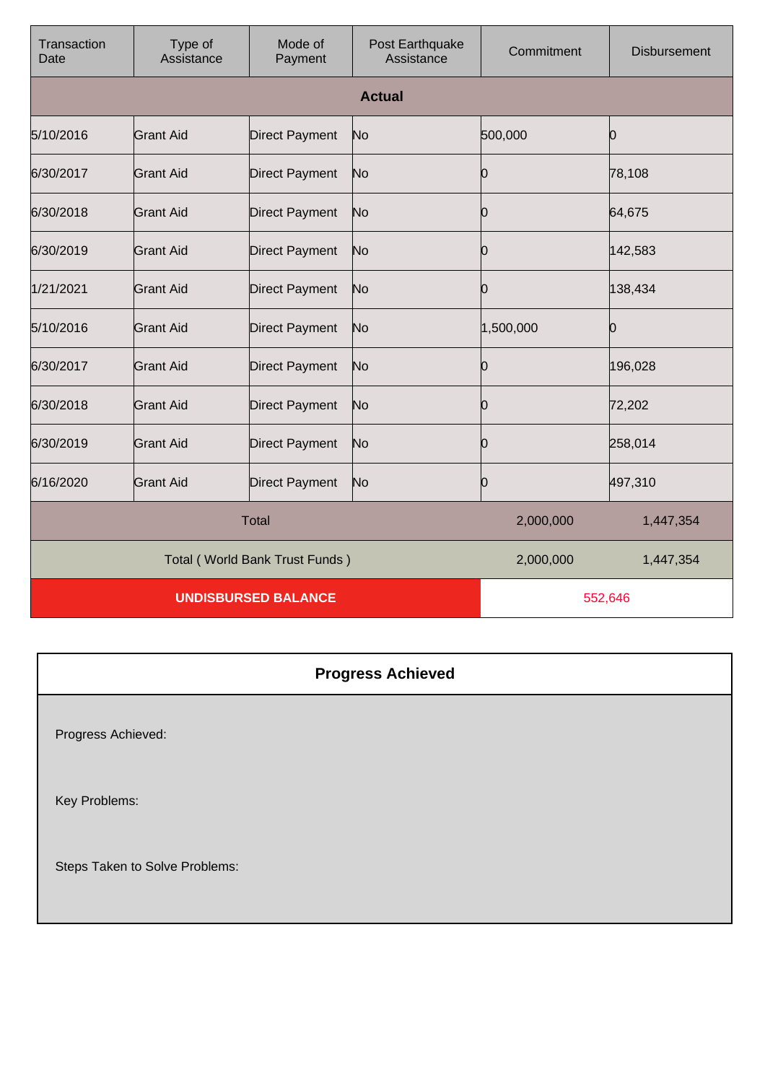| Transaction<br>Date            | Type of<br>Assistance | Mode of<br>Payment    | Post Earthquake<br>Assistance | Commitment | <b>Disbursement</b> |
|--------------------------------|-----------------------|-----------------------|-------------------------------|------------|---------------------|
|                                |                       |                       | <b>Actual</b>                 |            |                     |
| 5/10/2016                      | <b>Grant Aid</b>      | <b>Direct Payment</b> | No                            | 500,000    | 0                   |
| 6/30/2017                      | <b>Grant Aid</b>      | Direct Payment        | No                            | Ю          | 78,108              |
| 6/30/2018                      | Grant Aid             | <b>Direct Payment</b> | No                            | Ю          | 64,675              |
| 6/30/2019                      | <b>Grant Aid</b>      | Direct Payment        | No                            | 10         | 142,583             |
| 1/21/2021                      | <b>Grant Aid</b>      | <b>Direct Payment</b> | No                            | Ŋ          | 138,434             |
| 5/10/2016                      | <b>Grant Aid</b>      | Direct Payment        | No                            | 1,500,000  | 0                   |
| 6/30/2017                      | <b>Grant Aid</b>      | <b>Direct Payment</b> | No                            | 0          | 196,028             |
| 6/30/2018                      | <b>Grant Aid</b>      | <b>Direct Payment</b> | No                            | Ю          | 72,202              |
| 6/30/2019                      | <b>Grant Aid</b>      | <b>Direct Payment</b> | No                            | Ю          | 258,014             |
| 6/16/2020                      | <b>Grant Aid</b>      | <b>Direct Payment</b> | No                            | Ю          | 497,310             |
| <b>Total</b>                   |                       |                       | 2,000,000                     | 1,447,354  |                     |
| Total (World Bank Trust Funds) |                       |                       | 2,000,000                     | 1,447,354  |                     |
| <b>UNDISBURSED BALANCE</b>     |                       |                       | 552,646                       |            |                     |

| <b>Progress Achieved</b>       |
|--------------------------------|
| Progress Achieved:             |
| Key Problems:                  |
| Steps Taken to Solve Problems: |